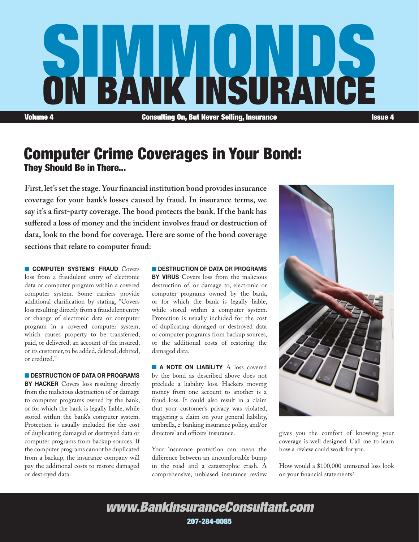

Computer Crime Coverages in Your Bond: They Should Be in There...

**First, let's set the stage. Your financial institution bond provides insurance coverage for your bank's losses caused by fraud. In insurance terms, we say it's a first-party coverage. The bond protects the bank. If the bank has suffered a loss of money and the incident involves fraud or destruction of data, look to the bond for coverage. Here are some of the bond coverage sections that relate to computer fraud:**

**n COMPUTER SYSTEMS' FRAUD** Covers loss from a fraudulent entry of electronic data or computer program within a covered computer system. Some carriers provide additional clarification by stating, "Covers loss resulting directly from a fraudulent entry or change of electronic data or computer program in a covered computer system, which causes property to be transferred, paid, or delivered; an account of the insured, or its customer, to be added, deleted, debited, or credited."

DESTRUCTION OF DATA OR PROGRAMS BY HACKER Covers loss resulting directly from the malicious destruction of or damage to computer programs owned by the bank, or for which the bank is legally liable, while stored within the bank's computer system. Protection is usually included for the cost of duplicating damaged or destroyed data or computer programs from backup sources. If the computer programs cannot be duplicated from a backup, the insurance company will pay the additional costs to restore damaged or destroyed data.

**N DESTRUCTION OF DATA OR PROGRAMS BY VIRUS** Covers loss from the malicious destruction of, or damage to, electronic or computer programs owned by the bank, or for which the bank is legally liable, while stored within a computer system. Protection is usually included for the cost of duplicating damaged or destroyed data or computer programs from backup sources, or the additional costs of restoring the damaged data.

**A NOTE ON LIABILITY** A loss covered by the bond as described above does not preclude a liability loss. Hackers moving money from one account to another is a fraud loss. It could also result in a claim that your customer's privacy was violated, triggering a claim on your general liability, umbrella, e-banking insurance policy, and/or directors' and officers' insurance.

Your insurance protection can mean the difference between an uncomfortable bump in the road and a catastrophic crash. A comprehensive, unbiased insurance review



gives you the comfort of knowing your coverage is well designed. Call me to learn how a review could work for you.

How would a \$100,000 uninsured loss look on your financial statements?

*www.BankInsuranceConsultant.com* 207-284-0085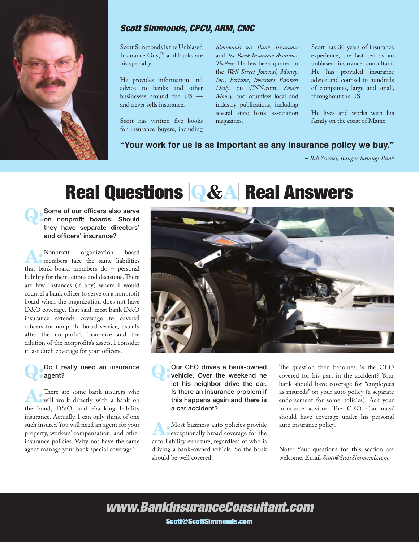

### *Scott Simmonds, CPCU, ARM, CMC*

Scott Simmonds is the Unbiased Insurance Guy,™ and banks are his specialty.

He provides information and advice to banks and other businesses around the US and never sells insurance.

Scott has written five books for insurance buyers, including

*Simmonds on Bank Insurance* and *The Bank Insurance Assurance Toolbox*. He has been quoted in the *Wall Street Journal*, *Money*, *Inc.*, *Fortune*, *Investor's Business Daily*, on CNN.com, *Smart Money*, and countless local and industry publications, including several state bank association magazines.

Scott has 30 years of insurance experience, the last ten as an unbiased insurance consultant. He has provided insurance advice and counsel to hundreds of companies, large and small, throughout the US.

He lives and works with his family on the coast of Maine.

### **"Your work for us is as important as any insurance policy we buy."**

*– Bill Swales, Bangor Savings Bank*

# Real Questions <sup>|</sup>Q&A<sup>|</sup> Real Answers

**Q:** Some of our officers also serve<br>
on nonprofit boards. Should they have separate directors' and officers' insurance?

A:Nonprofit organization board members face the same liabilities that bank board members do – personal liability for their actions and decisions. There are few instances (if any) where I would counsel a bank officer to serve on a nonprofit board when the organization does not have D&O coverage. That said, most bank D&O insurance extends coverage to covered officers for nonprofit board service; usually after the nonprofit's insurance and the dilution of the nonprofits's assets. I consider it last ditch coverage for your officers.

### Do I really need an insurance agent?

There are some bank insurers who will work directly with a bank on the bond, D&O, and ebanking liability insurance. Actually, I can only think of one such insurer. You will need an agent for your property, workers' compensation, and other insurance policies. Why not have the same agent manage your bank special coverage?



Q: Our CEO drives a bank-owned<br>
vehicle. Over the weekend he let his neighbor drive the car. Is there an insurance problem if this happens again and there is a car accident?

Most business auto policies provide exceptionally broad coverage for the auto liability exposure, regardless of who is driving a bank-owned vehicle. So the bank should be well covered.

The question then becomes, is the CEO covered for his part in the accident? Your bank should have coverage for "employees as insureds" on your auto policy (a separate endorsement for some policies). Ask your insurance advisor. The CEO also may/ should have coverage under his personal auto insurance policy.

Note: Your questions for this section are welcome. Email *Scott@ScottSimmonds.com.*

*www.BankInsuranceConsultant.com*

Scott@ScottSimmonds.com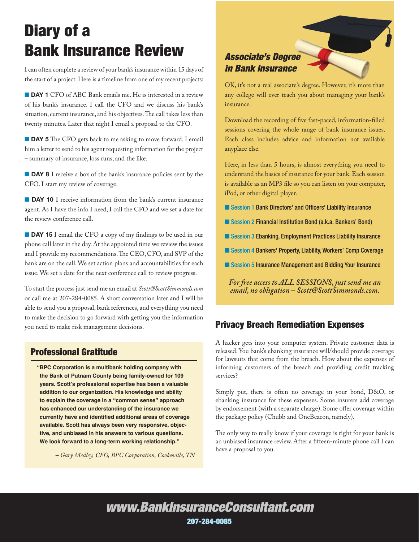# Diary of a Bank Insurance Review

I can often complete a review of your bank's insurance within 15 days of the start of a project. Here is a timeline from one of my recent projects:

**DAY 1** CFO of ABC Bank emails me. He is interested in a review of his bank's insurance. I call the CFO and we discuss his bank's situation, current insurance, and his objectives. The call takes less than twenty minutes. Later that night I email a proposal to the CFO.

**DAY 5** The CFO gets back to me asking to move forward. I email him a letter to send to his agent requesting information for the project – summary of insurance, loss runs, and the like.

**DAY 8** I receive a box of the bank's insurance policies sent by the CFO. I start my review of coverage.

**DAY 10** I receive information from the bank's current insurance agent. As I have the info I need, I call the CFO and we set a date for the review conference call.

**DAY 15** I email the CFO a copy of my findings to be used in our phone call later in the day. At the appointed time we review the issues and I provide my recommendations. The CEO, CFO, and SVP of the bank are on the call. We set action plans and accountabilities for each issue. We set a date for the next conference call to review progress.

To start the process just send me an email at *Scott@ScottSimmonds.com* or call me at 207-284-0085. A short conversation later and I will be able to send you a proposal, bank references, and everything you need to make the decision to go forward with getting you the information you need to make risk management decisions. **Privacy Breach Remediation Expenses** 

### Professional Gratitude

**"BPC Corporation is a multibank holding company with the Bank of Putnam County being family-owned for 109 years. Scott's professional expertise has been a valuable addition to our organization. His knowledge and ability to explain the coverage in a "common sense" approach has enhanced our understanding of the insurance we currently have and identified additional areas of coverage available. Scott has always been very responsive, objective, and unbiased in his answers to various questions. We look forward to a long-term working relationship."**

*– Gary Medley, CFO, BPC Corporation, Cookeville, TN*

## *Associate's Degree in Bank Insurance*

OK, it's not a real associate's degree. However, it's more than any college will ever teach you about managing your bank's insurance.

Download the recording of five fast-paced, information-filled sessions covering the whole range of bank insurance issues. Each class includes advice and information not available anyplace else.

Here, in less than 5 hours, is almost everything you need to understand the basics of insurance for your bank. Each session is available as an MP3 file so you can listen on your computer, iPod, or other digital player.

- Session 1 Bank Directors' and Officers' Liability Insurance
- Session 2 Financial Institution Bond (a.k.a. Bankers' Bond)
- Session 3 Ebanking, Employment Practices Liability Insurance
- Session 4 Bankers' Property, Liability, Workers' Comp Coverage
- Session 5 Insurance Management and Bidding Your Insurance

*For free access to ALL SESSIONS, just send me an email, no obligation – Scott@ScottSimmonds.com.* 

A hacker gets into your computer system. Private customer data is released. You bank's ebanking insurance will/should provide coverage for lawsuits that come from the breach. How about the expenses of informing customers of the breach and providing credit tracking services?

Simply put, there is often no coverage in your bond, D&O, or ebanking insurance for these expenses. Some insurers add coverage by endorsement (with a separate charge). Some offer coverage within the package policy (Chubb and OneBeacon, namely).

The only way to really know if your coverage is right for your bank is an unbiased insurance review. After a fifteen-minute phone call I can have a proposal to you.

## *www.BankInsuranceConsultant.com* 207-284-0085